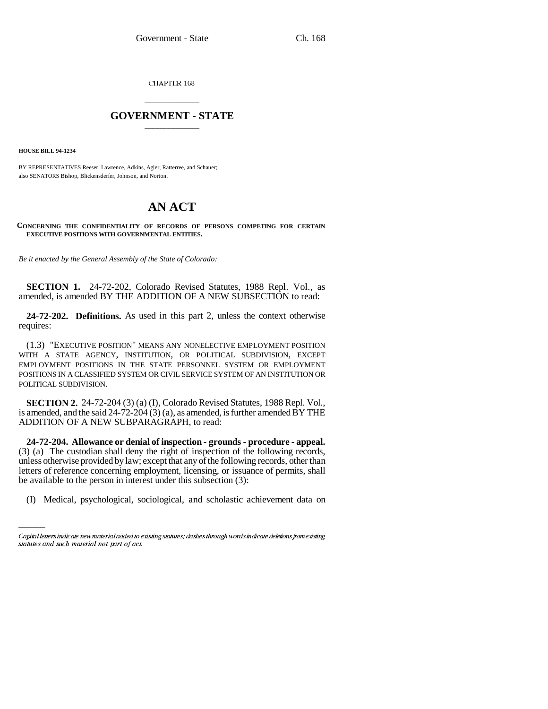CHAPTER 168

## \_\_\_\_\_\_\_\_\_\_\_\_\_\_\_ **GOVERNMENT - STATE** \_\_\_\_\_\_\_\_\_\_\_\_\_\_\_

**HOUSE BILL 94-1234**

BY REPRESENTATIVES Reeser, Lawrence, Adkins, Agler, Ratterree, and Schauer; also SENATORS Bishop, Blickensderfer, Johnson, and Norton.

## **AN ACT**

## **CONCERNING THE CONFIDENTIALITY OF RECORDS OF PERSONS COMPETING FOR CERTAIN EXECUTIVE POSITIONS WITH GOVERNMENTAL ENTITIES.**

*Be it enacted by the General Assembly of the State of Colorado:*

**SECTION 1.** 24-72-202, Colorado Revised Statutes, 1988 Repl. Vol., as amended, is amended BY THE ADDITION OF A NEW SUBSECTION to read:

**24-72-202. Definitions.** As used in this part 2, unless the context otherwise requires:

(1.3) "EXECUTIVE POSITION" MEANS ANY NONELECTIVE EMPLOYMENT POSITION WITH A STATE AGENCY, INSTITUTION, OR POLITICAL SUBDIVISION, EXCEPT EMPLOYMENT POSITIONS IN THE STATE PERSONNEL SYSTEM OR EMPLOYMENT POSITIONS IN A CLASSIFIED SYSTEM OR CIVIL SERVICE SYSTEM OF AN INSTITUTION OR POLITICAL SUBDIVISION.

**SECTION 2.** 24-72-204 (3) (a) (I), Colorado Revised Statutes, 1988 Repl. Vol., is amended, and the said 24-72-204 (3) (a), as amended, is further amended BY THE ADDITION OF A NEW SUBPARAGRAPH, to read:

unless otherwise provided by law; except that any of the following records, other than **24-72-204. Allowance or denial of inspection - grounds - procedure - appeal.** (3) (a) The custodian shall deny the right of inspection of the following records, letters of reference concerning employment, licensing, or issuance of permits, shall be available to the person in interest under this subsection (3):

(I) Medical, psychological, sociological, and scholastic achievement data on

Capital letters indicate new material added to existing statutes; dashes through words indicate deletions from existing statutes and such material not part of act.